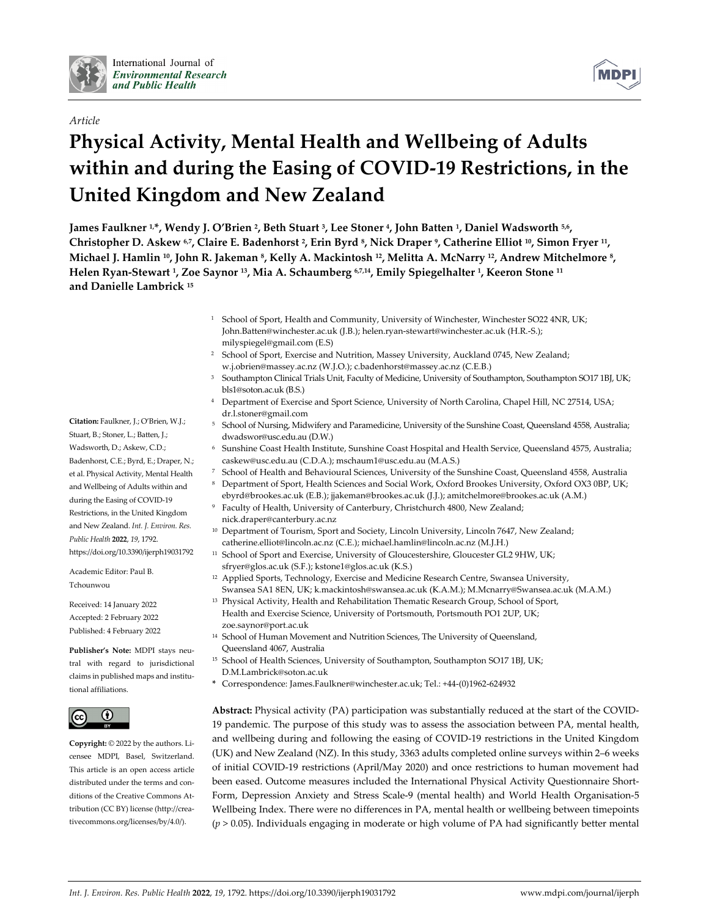

# *Article*

# **Physical Activity, Mental Health and Wellbeing of Adults within and during the Easing of COVID‐19 Restrictions, in the United Kingdom and New Zealand**

James Faulkner 1,\*, Wendy J. O'Brien <sup>2</sup>, Beth Stuart <sup>3</sup>, Lee Stoner <sup>4</sup>, John Batten <sup>1</sup>, Daniel Wadsworth <sup>5,6</sup>, Christopher D. Askew 6.7, Claire E. Badenhorst <sup>2</sup>, Erin Byrd <sup>8</sup>, Nick Draper <sup>9</sup>, Catherine Elliot <sup>10</sup>, Simon Fryer <sup>11</sup>, Michael J. Hamlin <sup>10</sup>, John R. Jakeman <sup>8</sup>, Kelly A. Mackintosh <sup>12</sup>, Melitta A. McNarry <sup>12</sup>, Andrew Mitchelmore <sup>8</sup>, Helen Ryan-Stewart <sup>1</sup>, Zoe Saynor <sup>13</sup>, Mia A. Schaumberg 6.7,14, Emily Spiegelhalter <sup>1</sup>, Keeron Stone <sup>11</sup> **and Danielle Lambrick <sup>15</sup>**

- <sup>1</sup> School of Sport, Health and Community, University of Winchester, Winchester SO22 4NR, UK; John.Batten@winchester.ac.uk (J.B.); helen.ryan‐stewart@winchester.ac.uk (H.R.‐S.); milyspiegel@gmail.com (E.S)
- <sup>2</sup> School of Sport, Exercise and Nutrition, Massey University, Auckland 0745, New Zealand; w.j.obrien@massey.ac.nz (W.J.O.); c.badenhorst@massey.ac.nz (C.E.B.)
- <sup>3</sup> Southampton Clinical Trials Unit, Faculty of Medicine, University of Southampton, Southampton SO17 1BJ, UK; bls1@soton.ac.uk (B.S.)
- <sup>4</sup> Department of Exercise and Sport Science, University of North Carolina, Chapel Hill, NC 27514, USA; dr.l.stoner@gmail.com
- <sup>5</sup> School of Nursing, Midwifery and Paramedicine, University of the Sunshine Coast, Queensland 4558, Australia; dwadswor@usc.edu.au (D.W.)
- <sup>6</sup> Sunshine Coast Health Institute, Sunshine Coast Hospital and Health Service, Queensland 4575, Australia; caskew@usc.edu.au (C.D.A.); mschaum1@usc.edu.au (M.A.S.)
- <sup>7</sup> School of Health and Behavioural Sciences, University of the Sunshine Coast, Queensland 4558, Australia
- <sup>8</sup> Department of Sport, Health Sciences and Social Work, Oxford Brookes University, Oxford OX3 0BP, UK; ebyrd@brookes.ac.uk (E.B.); jjakeman@brookes.ac.uk (J.J.); amitchelmore@brookes.ac.uk (A.M.)
- Faculty of Health, University of Canterbury, Christchurch 4800, New Zealand; nick.draper@canterbury.ac.nz
- <sup>10</sup> Department of Tourism, Sport and Society, Lincoln University, Lincoln 7647, New Zealand; catherine.elliot@lincoln.ac.nz (C.E.); michael.hamlin@lincoln.ac.nz (M.J.H.)
- <sup>11</sup> School of Sport and Exercise, University of Gloucestershire, Gloucester GL2 9HW, UK; sfryer@glos.ac.uk (S.F.); kstone1@glos.ac.uk (K.S.)
- <sup>12</sup> Applied Sports, Technology, Exercise and Medicine Research Centre, Swansea University, Swansea SA1 8EN, UK; k.mackintosh@swansea.ac.uk (K.A.M.); M.Mcnarry@Swansea.ac.uk (M.A.M.)
- <sup>13</sup> Physical Activity, Health and Rehabilitation Thematic Research Group, School of Sport, Health and Exercise Science, University of Portsmouth, Portsmouth PO1 2UP, UK; zoe.saynor@port.ac.uk
- <sup>14</sup> School of Human Movement and Nutrition Sciences, The University of Queensland, Queensland 4067, Australia
- <sup>15</sup> School of Health Sciences, University of Southampton, Southampton SO17 1BJ, UK; D.M.Lambrick@soton.ac.uk
- **\*** Correspondence: James.Faulkner@winchester.ac.uk; Tel.: +44‐(0)1962‐624932

**Abstract:** Physical activity (PA) participation was substantially reduced at the start of the COVID‐ 19 pandemic. The purpose of this study was to assess the association between PA, mental health, and wellbeing during and following the easing of COVID‐19 restrictions in the United Kingdom (UK) and New Zealand (NZ). In this study, 3363 adults completed online surveys within 2–6 weeks of initial COVID‐19 restrictions (April/May 2020) and once restrictions to human movement had been eased. Outcome measures included the International Physical Activity Questionnaire Short-Form, Depression Anxiety and Stress Scale‐9 (mental health) and World Health Organisation‐5 Wellbeing Index. There were no differences in PA, mental health or wellbeing between timepoints  $(p > 0.05)$ . Individuals engaging in moderate or high volume of PA had significantly better mental

**Citation:** Faulkner, J.; O'Brien, W.J.; Stuart, B.; Stoner, L.; Batten, J.; Wadsworth, D.; Askew, C.D.; Badenhorst, C.E.; Byrd, E.; Draper, N.; et al. Physical Activity, Mental Health and Wellbeing of Adults within and during the Easing of COVID‐19 Restrictions, in the United Kingdom and New Zealand. *Int. J. Environ. Res. Public Health* **2022**, *19*, 1792. https://doi.org/10.3390/ijerph19031792

Academic Editor: Paul B. Tchounwou

Received: 14 January 2022 Accepted: 2 February 2022 Published: 4 February 2022

**Publisher's Note:** MDPI stays neu‐ tral with regard to jurisdictional claims in published maps and institu‐ tional affiliations.



**Copyright:** © 2022 by the authors. Li‐ censee MDPI, Basel, Switzerland. This article is an open access article distributed under the terms and conditions of the Creative Commons At‐ tribution (CC BY) license (http://crea‐ tivecommons.org/licenses/by/4.0/).

**MDP**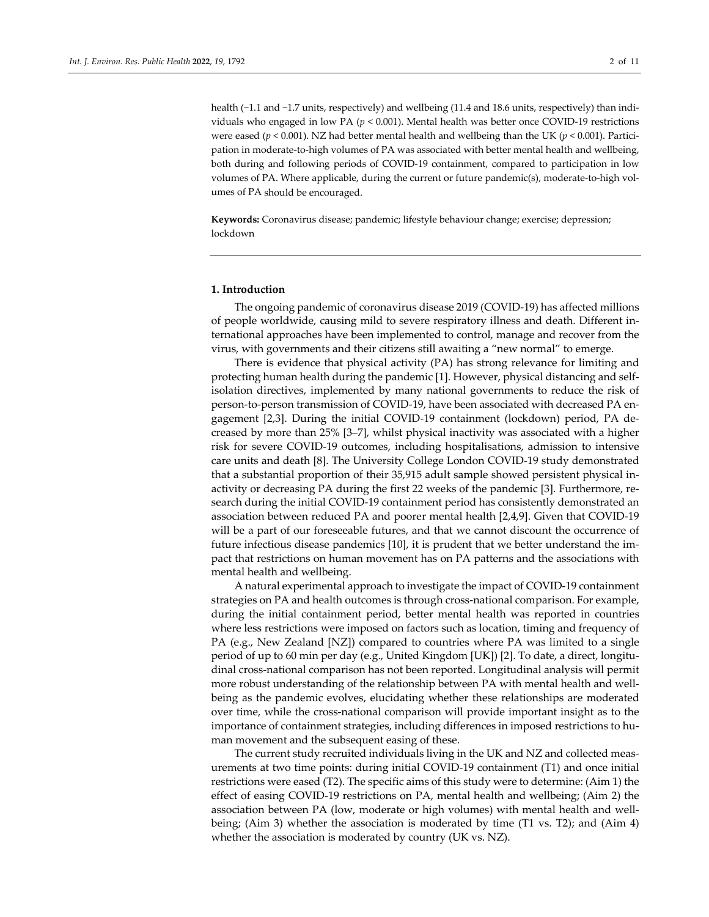health (−1.1 and −1.7 units, respectively) and wellbeing (11.4 and 18.6 units, respectively) than individuals who engaged in low PA ( $p < 0.001$ ). Mental health was better once COVID-19 restrictions were eased ( $p$  < 0.001). NZ had better mental health and wellbeing than the UK ( $p$  < 0.001). Participation in moderate-to-high volumes of PA was associated with better mental health and wellbeing, both during and following periods of COVID‐19 containment, compared to participation in low volumes of PA. Where applicable, during the current or future pandemic(s), moderate-to-high volumes of PA should be encouraged.

**Keywords:** Coronavirus disease; pandemic; lifestyle behaviour change; exercise; depression; lockdown

#### **1. Introduction**

The ongoing pandemic of coronavirus disease 2019 (COVID‐19) has affected millions of people worldwide, causing mild to severe respiratory illness and death. Different in‐ ternational approaches have been implemented to control, manage and recover from the virus, with governments and their citizens still awaiting a "new normal" to emerge.

There is evidence that physical activity (PA) has strong relevance for limiting and protecting human health during the pandemic [1]. However, physical distancing and self‐ isolation directives, implemented by many national governments to reduce the risk of person‐to‐person transmission of COVID‐19, have been associated with decreased PA en‐ gagement [2,3]. During the initial COVID‐19 containment (lockdown) period, PA de‐ creased by more than 25% [3–7], whilst physical inactivity was associated with a higher risk for severe COVID‐19 outcomes, including hospitalisations, admission to intensive care units and death [8]. The University College London COVID‐19 study demonstrated that a substantial proportion of their 35,915 adult sample showed persistent physical in‐ activity or decreasing PA during the first 22 weeks of the pandemic [3]. Furthermore, re‐ search during the initial COVID‐19 containment period has consistently demonstrated an association between reduced PA and poorer mental health [2,4,9]. Given that COVID‐19 will be a part of our foreseeable futures, and that we cannot discount the occurrence of future infectious disease pandemics [10], it is prudent that we better understand the im‐ pact that restrictions on human movement has on PA patterns and the associations with mental health and wellbeing.

A natural experimental approach to investigate the impact of COVID‐19 containment strategies on PA and health outcomes is through cross-national comparison. For example, during the initial containment period, better mental health was reported in countries where less restrictions were imposed on factors such as location, timing and frequency of PA (e.g., New Zealand [NZ]) compared to countries where PA was limited to a single period of up to 60 min per day (e.g., United Kingdom [UK]) [2]. To date, a direct, longitu‐ dinal cross‐national comparison has not been reported. Longitudinal analysis will permit more robust understanding of the relationship between PA with mental health and wellbeing as the pandemic evolves, elucidating whether these relationships are moderated over time, while the cross‐national comparison will provide important insight as to the importance of containment strategies, including differences in imposed restrictions to human movement and the subsequent easing of these.

The current study recruited individuals living in the UK and NZ and collected meas‐ urements at two time points: during initial COVID‐19 containment (T1) and once initial restrictions were eased (T2). The specific aims of this study were to determine: (Aim 1) the effect of easing COVID‐19 restrictions on PA, mental health and wellbeing; (Aim 2) the association between PA (low, moderate or high volumes) with mental health and well‐ being; (Aim 3) whether the association is moderated by time (T1 vs. T2); and (Aim 4) whether the association is moderated by country (UK vs. NZ).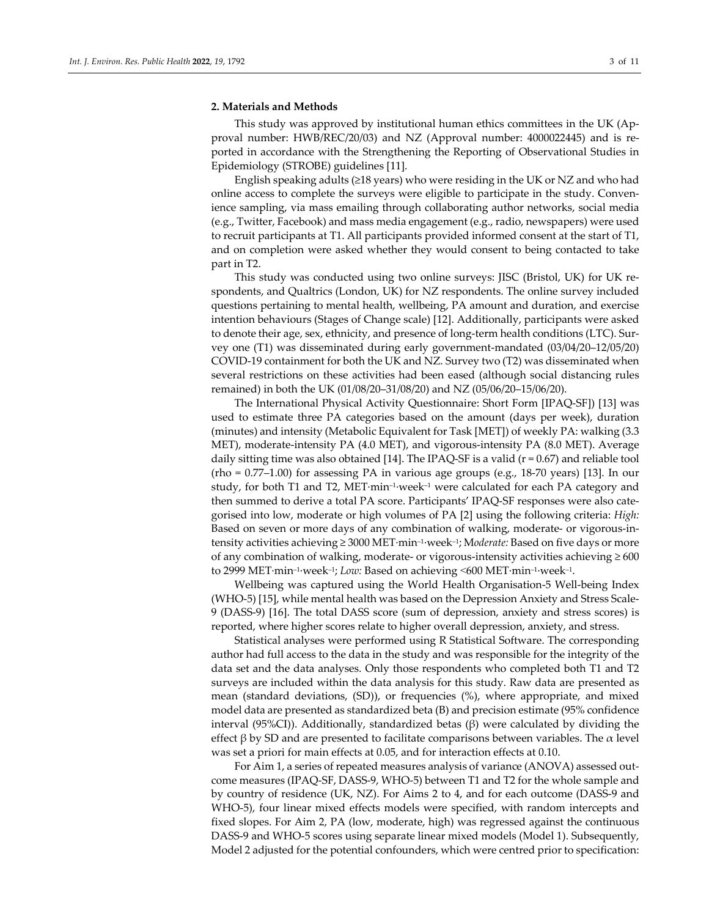#### **2. Materials and Methods**

This study was approved by institutional human ethics committees in the UK (Ap‐ proval number: HWB/REC/20/03) and NZ (Approval number: 4000022445) and is re‐ ported in accordance with the Strengthening the Reporting of Observational Studies in Epidemiology (STROBE) guidelines [11].

English speaking adults ( $\geq$ 18 years) who were residing in the UK or NZ and who had online access to complete the surveys were eligible to participate in the study. Conven‐ ience sampling, via mass emailing through collaborating author networks, social media (e.g., Twitter, Facebook) and mass media engagement (e.g., radio, newspapers) were used to recruit participants at T1. All participants provided informed consent at the start of T1, and on completion were asked whether they would consent to being contacted to take part in T2.

This study was conducted using two online surveys: JISC (Bristol, UK) for UK re‐ spondents, and Qualtrics (London, UK) for NZ respondents. The online survey included questions pertaining to mental health, wellbeing, PA amount and duration, and exercise intention behaviours (Stages of Change scale) [12]. Additionally, participants were asked to denote their age, sex, ethnicity, and presence of long-term health conditions (LTC). Survey one (T1) was disseminated during early government‐mandated (03/04/20–12/05/20) COVID‐19 containment for both the UK and NZ. Survey two (T2) was disseminated when several restrictions on these activities had been eased (although social distancing rules remained) in both the UK (01/08/20–31/08/20) and NZ (05/06/20–15/06/20).

The International Physical Activity Questionnaire: Short Form [IPAQ‐SF]) [13] was used to estimate three PA categories based on the amount (days per week), duration (minutes) and intensity (Metabolic Equivalent for Task [MET]) of weekly PA: walking (3.3 MET), moderate‐intensity PA (4.0 MET), and vigorous‐intensity PA (8.0 MET). Average daily sitting time was also obtained [14]. The IPAQ-SF is a valid ( $r = 0.67$ ) and reliable tool  $(rho = 0.77-1.00)$  for assessing PA in various age groups  $(e.g., 18-70$  years) [13]. In our study, for both T1 and T2, MET∙min–1∙week–1 were calculated for each PA category and then summed to derive a total PA score. Participants' IPAQ-SF responses were also categorised into low, moderate or high volumes of PA [2] using the following criteria: *High:* Based on seven or more days of any combination of walking, moderate- or vigorous-intensity activities achieving ≥ 3000 MET∙min–1∙week–1; M*oderate:* Based on five days or more of any combination of walking, moderate- or vigorous-intensity activities achieving  $\geq 600$ to 2999 MET∙min–1∙week–1; *Low:* Based on achieving ˂600 MET∙min–1∙week–1.

Wellbeing was captured using the World Health Organisation‐5 Well‐being Index (WHO‐5) [15], while mental health was based on the Depression Anxiety and Stress Scale‐ 9 (DASS‐9) [16]. The total DASS score (sum of depression, anxiety and stress scores) is reported, where higher scores relate to higher overall depression, anxiety, and stress.

Statistical analyses were performed using R Statistical Software. The corresponding author had full access to the data in the study and was responsible for the integrity of the data set and the data analyses. Only those respondents who completed both T1 and T2 surveys are included within the data analysis for this study. Raw data are presented as mean (standard deviations, (SD)), or frequencies (%), where appropriate, and mixed model data are presented as standardized beta (B) and precision estimate (95% confidence interval (95%CI)). Additionally, standardized betas (β) were calculated by dividing the effect β by SD and are presented to facilitate comparisons between variables. The  $\alpha$  level was set a priori for main effects at 0.05, and for interaction effects at 0.10.

For Aim 1, a series of repeated measures analysis of variance (ANOVA) assessed outcome measures (IPAQ‐SF, DASS‐9, WHO‐5) between T1 and T2 for the whole sample and by country of residence (UK, NZ). For Aims 2 to 4, and for each outcome (DASS‐9 and WHO-5), four linear mixed effects models were specified, with random intercepts and fixed slopes. For Aim 2, PA (low, moderate, high) was regressed against the continuous DASS‐9 and WHO‐5 scores using separate linear mixed models (Model 1). Subsequently, Model 2 adjusted for the potential confounders, which were centred prior to specification: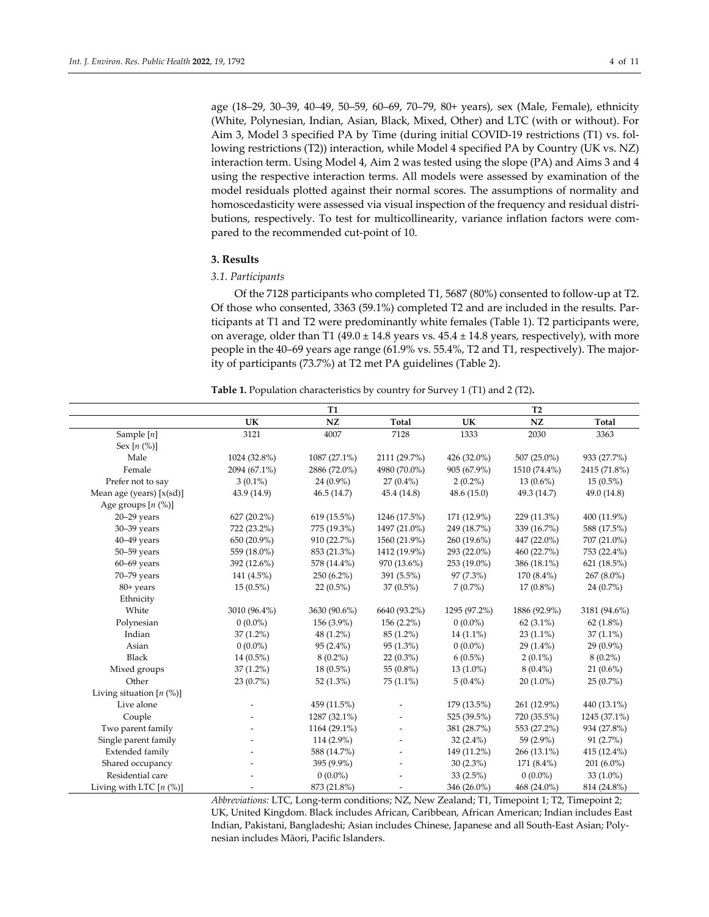age (18–29, 30–39, 40–49, 50–59, 60–69, 70–79, 80+ years), sex (Male, Female), ethnicity (White, Polynesian, Indian, Asian, Black, Mixed, Other) and LTC (with or without). For Aim 3, Model 3 specified PA by Time (during initial COVID‐19 restrictions (T1) vs. fol‐ lowing restrictions (T2)) interaction, while Model 4 specified PA by Country (UK vs. NZ) interaction term. Using Model 4, Aim 2 was tested using the slope (PA) and Aims 3 and 4 using the respective interaction terms. All models were assessed by examination of the model residuals plotted against their normal scores. The assumptions of normality and homoscedasticity were assessed via visual inspection of the frequency and residual distributions, respectively. To test for multicollinearity, variance inflation factors were com‐ pared to the recommended cut‐point of 10.

### **3. Results**

#### *3.1. Participants*

Of the 7128 participants who completed T1, 5687 (80%) consented to follow‐up at T2. Of those who consented, 3363 (59.1%) completed T2 and are included in the results. Par‐ ticipants at T1 and T2 were predominantly white females (Table 1). T2 participants were, on average, older than T1 (49.0  $\pm$  14.8 years vs. 45.4  $\pm$  14.8 years, respectively), with more people in the 40–69 years age range (61.9% vs. 55.4%, T2 and T1, respectively). The majority of participants (73.7%) at T2 met PA guidelines (Table 2).

**Table 1.** Population characteristics by country for Survey 1 (T1) and 2 (T2)**.**

|                            |              | <b>T1</b>    |              | T <sub>2</sub> |              |              |  |
|----------------------------|--------------|--------------|--------------|----------------|--------------|--------------|--|
|                            | UK           | NZ           | Total        | UK             | NZ           | Total        |  |
| Sample $[n]$               | 3121         | 4007         | 7128         | 1333           | 2030         | 3363         |  |
| Sex $[n (%)]$              |              |              |              |                |              |              |  |
| Male                       | 1024 (32.8%) | 1087 (27.1%) | 2111 (29.7%) | 426 (32.0%)    | 507 (25.0%)  | 933 (27.7%)  |  |
| Female                     | 2094 (67.1%) | 2886 (72.0%) | 4980 (70.0%) | 905 (67.9%)    | 1510 (74.4%) | 2415 (71.8%) |  |
| Prefer not to say          | $3(0.1\%)$   | $24(0.9\%)$  | $27(0.4\%)$  | $2(0.2\%)$     | $13(0.6\%)$  | $15(0.5\%)$  |  |
| Mean age (years) $[x(st)]$ | 43.9 (14.9)  | 46.5(14.7)   | 45.4 (14.8)  | 48.6(15.0)     | 49.3 (14.7)  | 49.0 (14.8)  |  |
| Age groups $[n (%)]$       |              |              |              |                |              |              |  |
| $20 - 29$ years            | 627 (20.2%)  | 619 (15.5%)  | 1246 (17.5%) | 171 (12.9%)    | 229 (11.3%)  | 400 (11.9%)  |  |
| $30 - 39$ years            | 722 (23.2%)  | 775 (19.3%)  | 1497 (21.0%) | 249 (18.7%)    | 339 (16.7%)  | 588 (17.5%)  |  |
| $40 - 49$ years            | 650 (20.9%)  | 910 (22.7%)  | 1560 (21.9%) | 260 (19.6%)    | 447 (22.0%)  | 707 (21.0%)  |  |
| $50 - 59$ years            | 559 (18.0%)  | 853 (21.3%)  | 1412 (19.9%) | 293 (22.0%)    | 460 (22.7%)  | 753 (22.4%)  |  |
| $60 - 69$ years            | 392 (12.6%)  | 578 (14.4%)  | 970 (13.6%)  | 253 (19.0%)    | 386 (18.1%)  | 621 (18.5%)  |  |
| 70-79 years                | 141 (4.5%)   | 250 (6.2%)   | 391 (5.5%)   | 97 (7.3%)      | 170 (8.4%)   | 267 (8.0%)   |  |
| 80+ years                  | $15(0.5\%)$  | $22(0.5\%)$  | $37(0.5\%)$  | $7(0.7\%)$     | $17(0.8\%)$  | 24 (0.7%)    |  |
| Ethnicity                  |              |              |              |                |              |              |  |
| White                      | 3010 (96.4%) | 3630 (90.6%) | 6640 (93.2%) | 1295 (97.2%)   | 1886 (92.9%) | 3181 (94.6%) |  |
| Polynesian                 | $0(0.0\%)$   | 156 (3.9%)   | 156 (2.2%)   | $0(0.0\%)$     | $62(3.1\%)$  | 62 $(1.8\%)$ |  |
| Indian                     | $37(1.2\%)$  | 48 (1.2%)    | 85 (1.2%)    | $14(1.1\%)$    | $23(1.1\%)$  | $37(1.1\%)$  |  |
| Asian                      | $0(0.0\%)$   | $95(2.4\%)$  | $95(1.3\%)$  | $0(0.0\%)$     | $29(1.4\%)$  | $29(0.9\%)$  |  |
| <b>Black</b>               | 14 (0.5%)    | $8(0.2\%)$   | $22(0.3\%)$  | $6(0.5\%)$     | $2(0.1\%)$   | $8(0.2\%)$   |  |
| Mixed groups               | $37(1.2\%)$  | $18(0.5\%)$  | 55 (0.8%)    | 13 (1.0%)      | $8(0.4\%)$   | $21(0.6\%)$  |  |
| Other                      | $23(0.7\%)$  | 52 $(1.3\%)$ | 75 (1.1%)    | $5(0.4\%)$     | $20(1.0\%)$  | $25(0.7\%)$  |  |
| Living situation $[n (%)]$ |              |              |              |                |              |              |  |
| Live alone                 |              | 459 (11.5%)  |              | 179 (13.5%)    | 261 (12.9%)  | 440 (13.1%)  |  |
| Couple                     |              | 1287 (32.1%) |              | 525 (39.5%)    | 720 (35.5%)  | 1245 (37.1%) |  |
| Two parent family          |              | 1164 (29.1%) |              | 381 (28.7%)    | 553 (27.2%)  | 934 (27.8%)  |  |
| Single parent family       |              | 114 (2.9%)   |              | $32(2.4\%)$    | 59 (2.9%)    | 91(2.7%)     |  |
| Extended family            |              | 588 (14.7%)  |              | 149 (11.2%)    | 266 (13.1%)  | 415 (12.4%)  |  |
| Shared occupancy           |              | 395 (9.9%)   |              | $30(2.3\%)$    | 171 (8.4%)   | $201(6.0\%)$ |  |
| Residential care           |              | $0(0.0\%)$   |              | 33 (2.5%)      | $0(0.0\%)$   | 33 $(1.0\%)$ |  |
| Living with LTC $[n (%)]$  |              | 873 (21.8%)  |              | 346 (26.0%)    | 468 (24.0%)  | 814 (24.8%)  |  |

*Abbreviations:* LTC, Long‐term conditions; NZ, New Zealand; T1, Timepoint 1; T2, Timepoint 2; UK, United Kingdom. Black includes African, Caribbean, African American; Indian includes East Indian, Pakistani, Bangladeshi; Asian includes Chinese, Japanese and all South‐East Asian; Poly‐ nesian includes Māori, Pacific Islanders.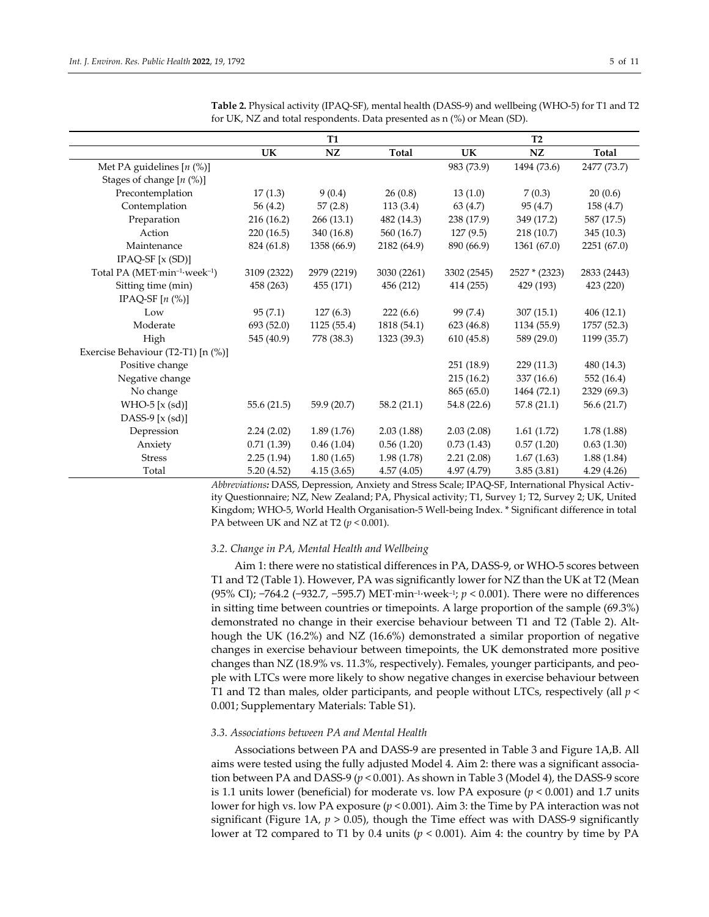|                                                       |             | <b>T1</b>   |              | T2          |               |             |  |
|-------------------------------------------------------|-------------|-------------|--------------|-------------|---------------|-------------|--|
|                                                       | <b>UK</b>   | NZ          | <b>Total</b> | UK          | NZ            | Total       |  |
| Met PA guidelines $[n (%)]$                           |             |             |              | 983 (73.9)  | 1494 (73.6)   | 2477 (73.7) |  |
| Stages of change $[n (%)]$                            |             |             |              |             |               |             |  |
| Precontemplation                                      | 17(1.3)     | 9(0.4)      | 26(0.8)      | 13(1.0)     | 7(0.3)        | 20(0.6)     |  |
| Contemplation                                         | 56 $(4.2)$  | 57(2.8)     | 113(3.4)     | 63 (4.7)    | 95(4.7)       | 158 (4.7)   |  |
| Preparation                                           | 216 (16.2)  | 266 (13.1)  | 482 (14.3)   | 238 (17.9)  | 349 (17.2)    | 587 (17.5)  |  |
| Action                                                | 220 (16.5)  | 340 (16.8)  | 560 (16.7)   | 127(9.5)    | 218 (10.7)    | 345 (10.3)  |  |
| Maintenance                                           | 824 (61.8)  | 1358 (66.9) | 2182 (64.9)  | 890 (66.9)  | 1361 (67.0)   | 2251 (67.0) |  |
| $IPAQ-SF[x(SD)]$                                      |             |             |              |             |               |             |  |
| Total PA (MET·min <sup>-1</sup> ·week <sup>-1</sup> ) | 3109 (2322) | 2979 (2219) | 3030 (2261)  | 3302 (2545) | 2527 * (2323) | 2833 (2443) |  |
| Sitting time (min)                                    | 458 (263)   | 455 (171)   | 456 (212)    | 414 (255)   | 429 (193)     | 423 (220)   |  |
| IPAQ-SF $[n \ (\%)]$                                  |             |             |              |             |               |             |  |
| Low                                                   | 95(7.1)     | 127(6.3)    | 222(6.6)     | 99 (7.4)    | 307(15.1)     | 406(12.1)   |  |
| Moderate                                              | 693(52.0)   | 1125(55.4)  | 1818 (54.1)  | 623 (46.8)  | 1134 (55.9)   | 1757 (52.3) |  |
| High                                                  | 545 (40.9)  | 778 (38.3)  | 1323 (39.3)  | 610(45.8)   | 589 (29.0)    | 1199 (35.7) |  |
| Exercise Behaviour (T2-T1) [n (%)]                    |             |             |              |             |               |             |  |
| Positive change                                       |             |             |              | 251 (18.9)  | 229(11.3)     | 480 (14.3)  |  |
| Negative change                                       |             |             |              | 215(16.2)   | 337 (16.6)    | 552 (16.4)  |  |
| No change                                             |             |             |              | 865(65.0)   | 1464 (72.1)   | 2329 (69.3) |  |
| WHO-5 $[x (sd)]$                                      | 55.6(21.5)  | 59.9 (20.7) | 58.2(21.1)   | 54.8 (22.6) | 57.8(21.1)    | 56.6 (21.7) |  |
| DASS-9 $[x (sd)]$                                     |             |             |              |             |               |             |  |
| Depression                                            | 2.24(2.02)  | 1.89(1.76)  | 2.03(1.88)   | 2.03(2.08)  | 1.61(1.72)    | 1.78(1.88)  |  |
| Anxiety                                               | 0.71(1.39)  | 0.46(1.04)  | 0.56(1.20)   | 0.73(1.43)  | 0.57(1.20)    | 0.63(1.30)  |  |
| <b>Stress</b>                                         | 2.25(1.94)  | 1.80(1.65)  | 1.98(1.78)   | 2.21(2.08)  | 1.67(1.63)    | 1.88(1.84)  |  |
| Total                                                 | 5.20(4.52)  | 4.15(3.65)  | 4.57(4.05)   | 4.97 (4.79) | 3.85(3.81)    | 4.29 (4.26) |  |

**Table 2.** Physical activity (IPAQ‐SF), mental health (DASS‐9) and wellbeing (WHO‐5) for T1 and T2 for UK, NZ and total respondents. Data presented as n (%) or Mean (SD).

*Abbreviations:* DASS, Depression, Anxiety and Stress Scale; IPAQ‐SF, International Physical Activ‐ ity Questionnaire; NZ, New Zealand; PA, Physical activity; T1, Survey 1; T2, Survey 2; UK, United Kingdom; WHO‐5, World Health Organisation‐5 Well‐being Index. \* Significant difference in total PA between UK and NZ at T2 (*p* < 0.001).

#### *3.2. Change in PA, Mental Health and Wellbeing*

Aim 1: there were no statistical differences in PA, DASS‐9, or WHO‐5 scores between T1 and T2 (Table 1). However, PA was significantly lower for NZ than the UK at T2 (Mean (95% CI); −764.2 (−932.7, −595.7) MET∙min–1∙week–1; *p* < 0.001). There were no differences in sitting time between countries or timepoints. A large proportion of the sample (69.3%) demonstrated no change in their exercise behaviour between T1 and T2 (Table 2). Alt‐ hough the UK (16.2%) and NZ (16.6%) demonstrated a similar proportion of negative changes in exercise behaviour between timepoints, the UK demonstrated more positive changes than NZ (18.9% vs. 11.3%, respectively). Females, younger participants, and peo‐ ple with LTCs were more likely to show negative changes in exercise behaviour between T1 and T2 than males, older participants, and people without LTCs, respectively (all *p* < 0.001; Supplementary Materials: Table S1).

#### *3.3. Associations between PA and Mental Health*

Associations between PA and DASS‐9 are presented in Table 3 and Figure 1A,B. All aims were tested using the fully adjusted Model 4. Aim 2: there was a significant association between PA and DASS‐9 (*p* < 0.001). As shown in Table 3 (Model 4), the DASS‐9 score is 1.1 units lower (beneficial) for moderate vs. low PA exposure  $(p < 0.001)$  and 1.7 units lower for high vs. low PA exposure (*p* < 0.001). Aim 3: the Time by PA interaction was not significant (Figure 1A,  $p > 0.05$ ), though the Time effect was with DASS-9 significantly lower at T2 compared to T1 by 0.4 units (*p* < 0.001). Aim 4: the country by time by PA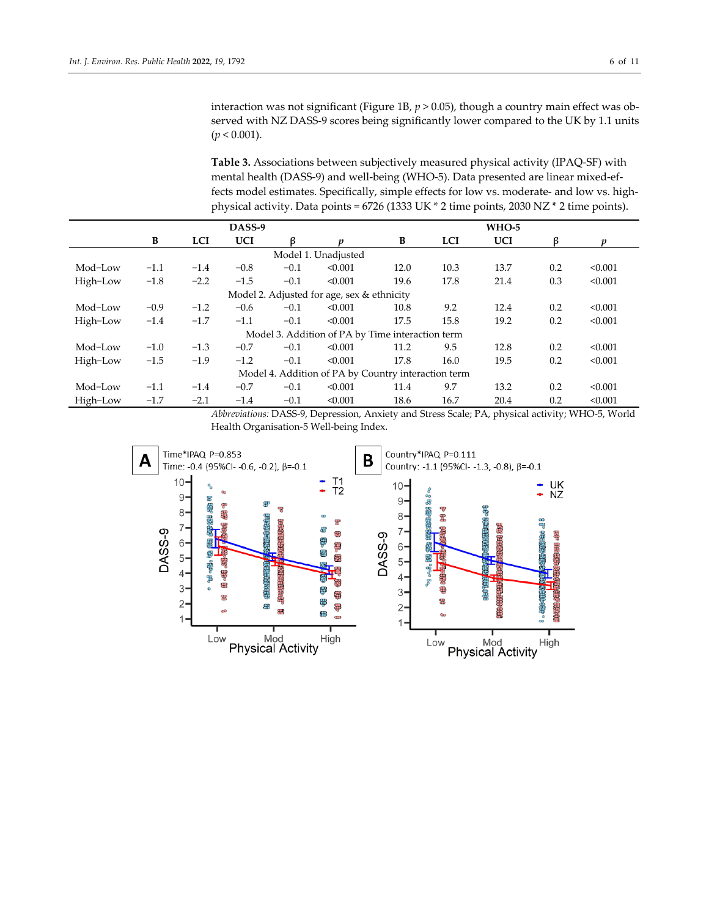interaction was not significant (Figure 1B,  $p > 0.05$ ), though a country main effect was observed with NZ DASS-9 scores being significantly lower compared to the UK by 1.1 units (*p* < 0.001).

**Table 3.** Associations between subjectively measured physical activity (IPAQ‐SF) with mental health (DASS‐9) and well‐being (WHO‐5). Data presented are linear mixed‐ef‐ fects model estimates. Specifically, simple effects for low vs. moderate- and low vs. highphysical activity. Data points = 6726 (1333 UK \* 2 time points, 2030 NZ \* 2 time points).

|                                                     |        |            | DASS-9     |        |         |      |            | <b>WHO-5</b> |     |         |
|-----------------------------------------------------|--------|------------|------------|--------|---------|------|------------|--------------|-----|---------|
|                                                     | B      | <b>LCI</b> | <b>UCI</b> | ß      | n       | B    | <b>LCI</b> | <b>UCI</b>   | ß   | n       |
| Model 1. Unadjusted                                 |        |            |            |        |         |      |            |              |     |         |
| Mod-Low                                             | $-1.1$ | $-1.4$     | $-0.8$     | $-0.1$ | < 0.001 | 12.0 | 10.3       | 13.7         | 0.2 | < 0.001 |
| High-Low                                            | $-1.8$ | $-2.2$     | $-1.5$     | $-0.1$ | < 0.001 | 19.6 | 17.8       | 21.4         | 0.3 | < 0.001 |
| Model 2. Adjusted for age, sex & ethnicity          |        |            |            |        |         |      |            |              |     |         |
| Mod-Low                                             | $-0.9$ | $-1.2$     | $-0.6$     | $-0.1$ | < 0.001 | 10.8 | 9.2        | 12.4         | 0.2 | < 0.001 |
| High-Low                                            | $-1.4$ | $-1.7$     | $-1.1$     | $-0.1$ | < 0.001 | 17.5 | 15.8       | 19.2         | 0.2 | < 0.001 |
| Model 3. Addition of PA by Time interaction term    |        |            |            |        |         |      |            |              |     |         |
| Mod-Low                                             | $-1.0$ | $-1.3$     | $-0.7$     | $-0.1$ | < 0.001 | 11.2 | 9.5        | 12.8         | 0.2 | < 0.001 |
| High-Low                                            | $-1.5$ | $-1.9$     | $-1.2$     | $-0.1$ | < 0.001 | 17.8 | 16.0       | 19.5         | 0.2 | < 0.001 |
| Model 4. Addition of PA by Country interaction term |        |            |            |        |         |      |            |              |     |         |
| Mod-Low                                             | $-1.1$ | $-1.4$     | $-0.7$     | $-0.1$ | < 0.001 | 11.4 | 9.7        | 13.2         | 0.2 | < 0.001 |
| High-Low                                            | $-1.7$ | $-2.1$     | $-1.4$     | $-0.1$ | < 0.001 | 18.6 | 16.7       | 20.4         | 0.2 | < 0.001 |

*Abbreviations:* DASS‐9, Depression, Anxiety and Stress Scale; PA, physical activity; WHO‐5, World Health Organisation‐5 Well‐being Index.

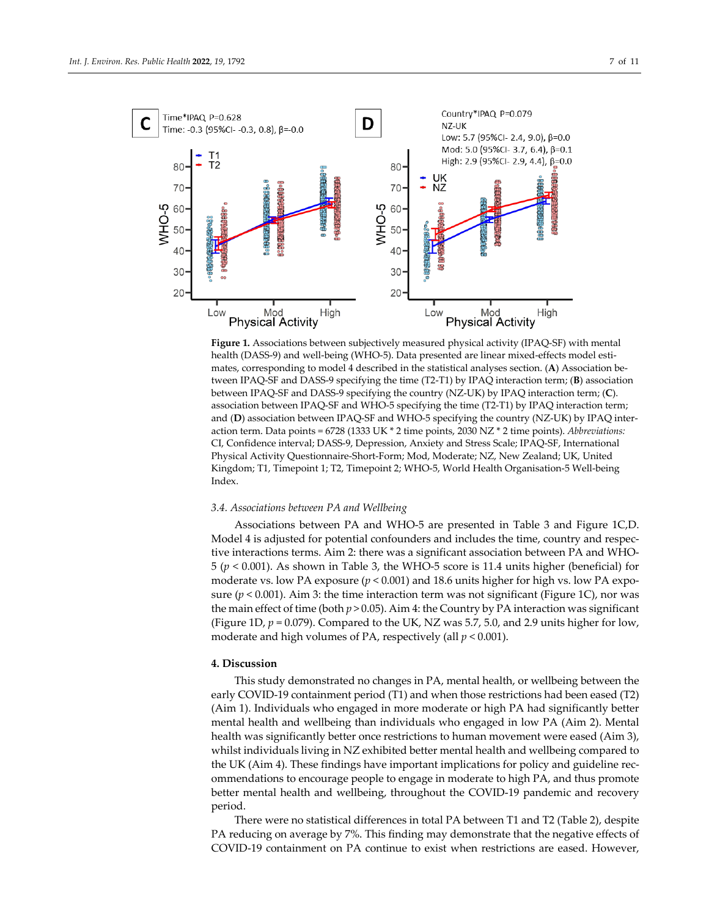

**Figure 1.** Associations between subjectively measured physical activity (IPAQ‐SF) with mental health (DASS-9) and well-being (WHO-5). Data presented are linear mixed-effects model estimates, corresponding to model 4 described in the statistical analyses section. (**A**) Association be‐ tween IPAQ‐SF and DASS‐9 specifying the time (T2‐T1) by IPAQ interaction term; (**B**) association between IPAQ‐SF and DASS‐9 specifying the country (NZ‐UK) by IPAQ interaction term; (**C**). association between IPAQ‐SF and WHO‐5 specifying the time (T2‐T1) by IPAQ interaction term; and (D) association between IPAQ-SF and WHO-5 specifying the country (NZ-UK) by IPAQ interaction term. Data points = 6728 (1333 UK \* 2 time points, 2030 NZ \* 2 time points). *Abbreviations:* CI, Confidence interval; DASS‐9, Depression, Anxiety and Stress Scale; IPAQ‐SF, International Physical Activity Questionnaire‐Short‐Form; Mod, Moderate; NZ, New Zealand; UK, United Kingdom; T1, Timepoint 1; T2, Timepoint 2; WHO‐5, World Health Organisation‐5 Well‐being Index.

## *3.4. Associations between PA and Wellbeing*

Associations between PA and WHO‐5 are presented in Table 3 and Figure 1C,D. Model 4 is adjusted for potential confounders and includes the time, country and respective interactions terms. Aim 2: there was a significant association between PA and WHO‐ 5 (*p* < 0.001). As shown in Table 3, the WHO‐5 score is 11.4 units higher (beneficial) for moderate vs. low PA exposure ( $p < 0.001$ ) and 18.6 units higher for high vs. low PA exposure  $(p < 0.001)$ . Aim 3: the time interaction term was not significant (Figure 1C), nor was the main effect of time (both  $p > 0.05$ ). Aim 4: the Country by PA interaction was significant (Figure 1D,  $p = 0.079$ ). Compared to the UK, NZ was 5.7, 5.0, and 2.9 units higher for low, moderate and high volumes of PA, respectively (all *p* < 0.001).

# **4. Discussion**

This study demonstrated no changes in PA, mental health, or wellbeing between the early COVID‐19 containment period (T1) and when those restrictions had been eased (T2) (Aim 1). Individuals who engaged in more moderate or high PA had significantly better mental health and wellbeing than individuals who engaged in low PA (Aim 2). Mental health was significantly better once restrictions to human movement were eased (Aim 3), whilst individuals living in NZ exhibited better mental health and wellbeing compared to the UK (Aim 4). These findings have important implications for policy and guideline rec‐ ommendations to encourage people to engage in moderate to high PA, and thus promote better mental health and wellbeing, throughout the COVID-19 pandemic and recovery period.

There were no statistical differences in total PA between T1 and T2 (Table 2), despite PA reducing on average by 7%. This finding may demonstrate that the negative effects of COVID‐19 containment on PA continue to exist when restrictions are eased. However,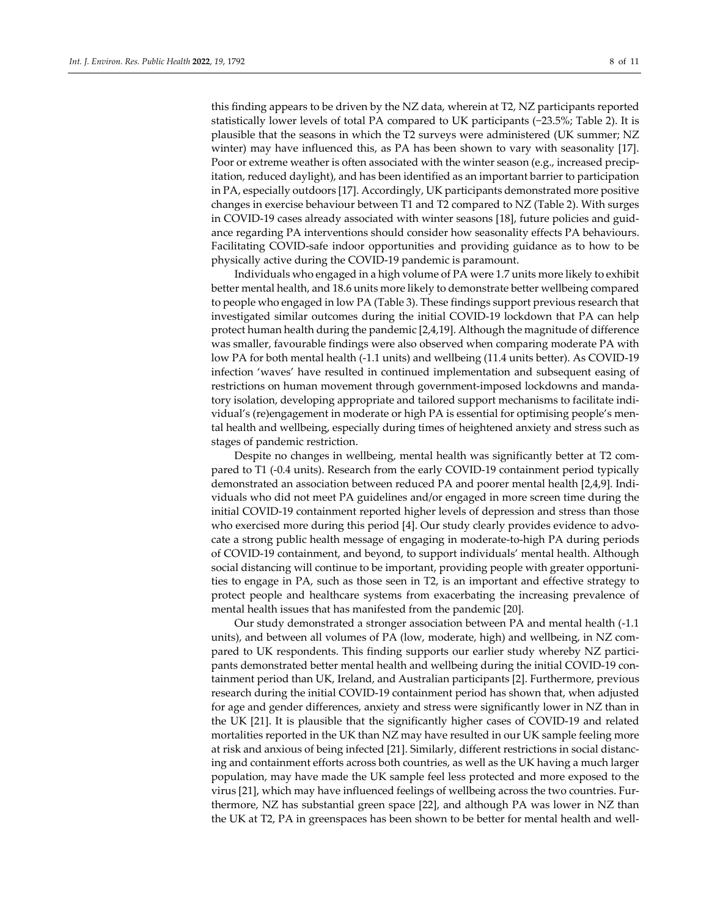this finding appears to be driven by the NZ data, wherein at T2, NZ participants reported statistically lower levels of total PA compared to UK participants (−23.5%; Table 2). It is plausible that the seasons in which the T2 surveys were administered (UK summer; NZ winter) may have influenced this, as PA has been shown to vary with seasonality [17]. Poor or extreme weather is often associated with the winter season (e.g., increased precipitation, reduced daylight), and has been identified as an important barrier to participation in PA, especially outdoors [17]. Accordingly, UK participants demonstrated more positive changes in exercise behaviour between T1 and T2 compared to NZ (Table 2). With surges in COVID‐19 cases already associated with winter seasons [18], future policies and guid‐ ance regarding PA interventions should consider how seasonality effects PA behaviours. Facilitating COVID‐safe indoor opportunities and providing guidance as to how to be physically active during the COVID‐19 pandemic is paramount.

Individuals who engaged in a high volume of PA were 1.7 units more likely to exhibit better mental health, and 18.6 units more likely to demonstrate better wellbeing compared to people who engaged in low PA (Table 3). These findings support previous research that investigated similar outcomes during the initial COVID‐19 lockdown that PA can help protect human health during the pandemic [2,4,19]. Although the magnitude of difference was smaller, favourable findings were also observed when comparing moderate PA with low PA for both mental health (-1.1 units) and wellbeing (11.4 units better). As COVID-19 infection 'waves' have resulted in continued implementation and subsequent easing of restrictions on human movement through government-imposed lockdowns and mandatory isolation, developing appropriate and tailored support mechanisms to facilitate indi‐ vidual's (re)engagement in moderate or high PA is essential for optimising people's men‐ tal health and wellbeing, especially during times of heightened anxiety and stress such as stages of pandemic restriction.

Despite no changes in wellbeing, mental health was significantly better at T2 compared to T1 (‐0.4 units). Research from the early COVID‐19 containment period typically demonstrated an association between reduced PA and poorer mental health [2,4,9]. Indi‐ viduals who did not meet PA guidelines and/or engaged in more screen time during the initial COVID‐19 containment reported higher levels of depression and stress than those who exercised more during this period [4]. Our study clearly provides evidence to advocate a strong public health message of engaging in moderate‐to‐high PA during periods of COVID‐19 containment, and beyond, to support individuals' mental health. Although social distancing will continue to be important, providing people with greater opportuni‐ ties to engage in PA, such as those seen in T2, is an important and effective strategy to protect people and healthcare systems from exacerbating the increasing prevalence of mental health issues that has manifested from the pandemic [20].

Our study demonstrated a stronger association between PA and mental health (‐1.1 units), and between all volumes of PA (low, moderate, high) and wellbeing, in NZ compared to UK respondents. This finding supports our earlier study whereby NZ participants demonstrated better mental health and wellbeing during the initial COVID‐19 con‐ tainment period than UK, Ireland, and Australian participants [2]. Furthermore, previous research during the initial COVID‐19 containment period has shown that, when adjusted for age and gender differences, anxiety and stress were significantly lower in NZ than in the UK [21]. It is plausible that the significantly higher cases of COVID‐19 and related mortalities reported in the UK than NZ may have resulted in our UK sample feeling more at risk and anxious of being infected [21]. Similarly, different restrictions in social distanc‐ ing and containment efforts across both countries, as well as the UK having a much larger population, may have made the UK sample feel less protected and more exposed to the virus [21], which may have influenced feelings of wellbeing across the two countries. Fur‐ thermore, NZ has substantial green space [22], and although PA was lower in NZ than the UK at T2, PA in greenspaces has been shown to be better for mental health and well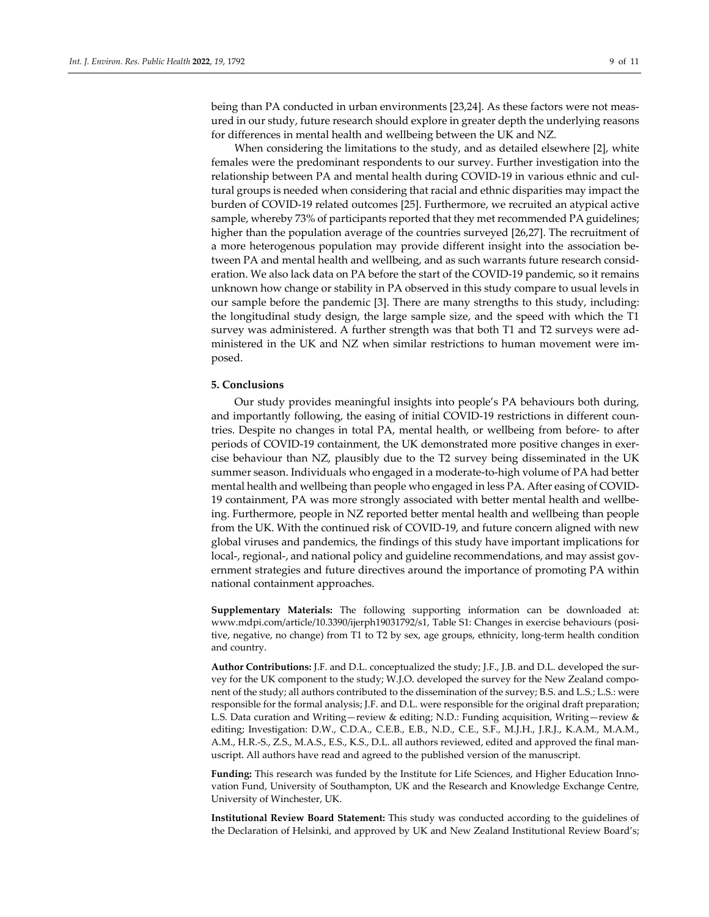being than PA conducted in urban environments [23,24]. As these factors were not measured in our study, future research should explore in greater depth the underlying reasons for differences in mental health and wellbeing between the UK and NZ.

When considering the limitations to the study, and as detailed elsewhere [2], white females were the predominant respondents to our survey. Further investigation into the relationship between PA and mental health during COVID-19 in various ethnic and cultural groups is needed when considering that racial and ethnic disparities may impact the burden of COVID‐19 related outcomes [25]. Furthermore, we recruited an atypical active sample, whereby 73% of participants reported that they met recommended PA guidelines; higher than the population average of the countries surveyed [26,27]. The recruitment of a more heterogenous population may provide different insight into the association be‐ tween PA and mental health and wellbeing, and as such warrants future research consideration. We also lack data on PA before the start of the COVID-19 pandemic, so it remains unknown how change or stability in PA observed in this study compare to usual levels in our sample before the pandemic [3]. There are many strengths to this study, including: the longitudinal study design, the large sample size, and the speed with which the T1 survey was administered. A further strength was that both T1 and T2 surveys were ad‐ ministered in the UK and NZ when similar restrictions to human movement were im‐ posed.

#### **5. Conclusions**

Our study provides meaningful insights into people's PA behaviours both during, and importantly following, the easing of initial COVID-19 restrictions in different countries. Despite no changes in total PA, mental health, or wellbeing from before‐ to after periods of COVID‐19 containment, the UK demonstrated more positive changes in exer‐ cise behaviour than NZ, plausibly due to the T2 survey being disseminated in the UK summer season. Individuals who engaged in a moderate‐to‐high volume of PA had better mental health and wellbeing than people who engaged in less PA. After easing of COVID‐ 19 containment, PA was more strongly associated with better mental health and wellbe‐ ing. Furthermore, people in NZ reported better mental health and wellbeing than people from the UK. With the continued risk of COVID‐19, and future concern aligned with new global viruses and pandemics, the findings of this study have important implications for local-, regional-, and national policy and guideline recommendations, and may assist government strategies and future directives around the importance of promoting PA within national containment approaches.

**Supplementary Materials:** The following supporting information can be downloaded at: www.mdpi.com/article/10.3390/ijerph19031792/s1, Table S1: Changes in exercise behaviours (posi‐ tive, negative, no change) from T1 to T2 by sex, age groups, ethnicity, long-term health condition and country.

**Author Contributions:** J.F. and D.L. conceptualized the study; J.F., J.B. and D.L. developed the sur‐ vey for the UK component to the study; W.J.O. developed the survey for the New Zealand component of the study; all authors contributed to the dissemination of the survey; B.S. and L.S.; L.S.: were responsible for the formal analysis; J.F. and D.L. were responsible for the original draft preparation; L.S. Data curation and Writing—review & editing; N.D.: Funding acquisition, Writing—review & editing; Investigation: D.W., C.D.A., C.E.B., E.B., N.D., C.E., S.F., M.J.H., J.R.J., K.A.M., M.A.M., A.M., H.R.-S., Z.S., M.A.S., E.S., K.S., D.L. all authors reviewed, edited and approved the final manuscript. All authors have read and agreed to the published version of the manuscript.

Funding: This research was funded by the Institute for Life Sciences, and Higher Education Innovation Fund, University of Southampton, UK and the Research and Knowledge Exchange Centre, University of Winchester, UK.

**Institutional Review Board Statement:** This study was conducted according to the guidelines of the Declaration of Helsinki, and approved by UK and New Zealand Institutional Review Board's;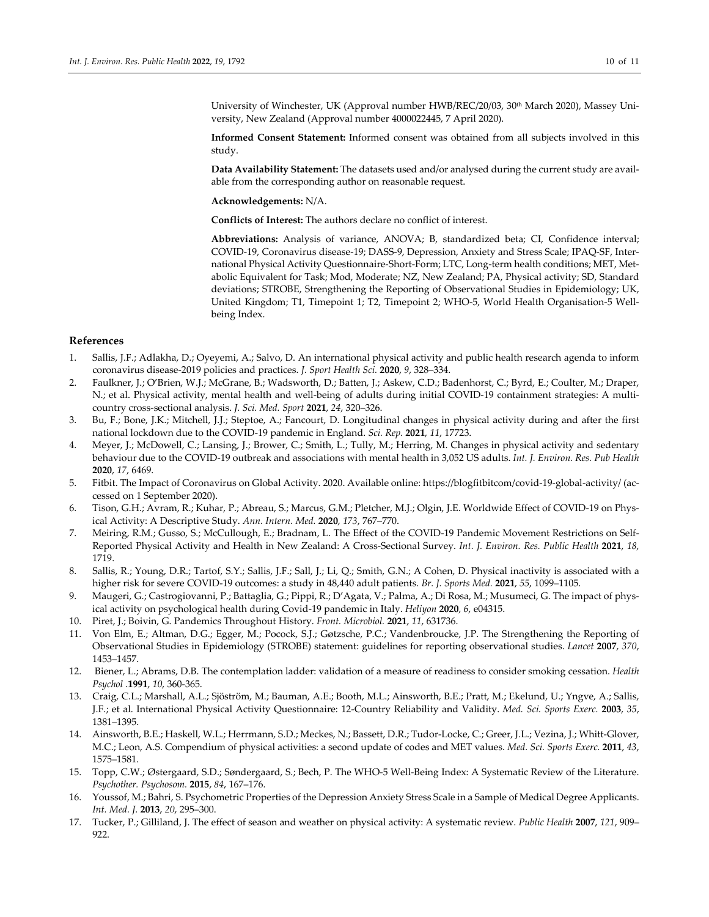University of Winchester, UK (Approval number HWB/REC/20/03, 30<sup>th</sup> March 2020), Massey University, New Zealand (Approval number 4000022445, 7 April 2020).

**Informed Consent Statement:** Informed consent was obtained from all subjects involved in this study.

**Data Availability Statement:** The datasets used and/or analysed during the current study are avail‐ able from the corresponding author on reasonable request.

**Acknowledgements:** N/A.

**Conflicts of Interest:** The authors declare no conflict of interest.

**Abbreviations:** Analysis of variance, ANOVA; B, standardized beta; CI, Confidence interval; COVID‐19, Coronavirus disease‐19; DASS‐9, Depression, Anxiety and Stress Scale; IPAQ‐SF, Inter‐ national Physical Activity Questionnaire‐Short‐Form; LTC, Long‐term health conditions; MET, Met‐ abolic Equivalent for Task; Mod, Moderate; NZ, New Zealand; PA, Physical activity; SD, Standard deviations; STROBE, Strengthening the Reporting of Observational Studies in Epidemiology; UK, United Kingdom; T1, Timepoint 1; T2, Timepoint 2; WHO‐5, World Health Organisation‐5 Well‐ being Index.

### **References**

- 1. Sallis, J.F.; Adlakha, D.; Oyeyemi, A.; Salvo, D. An international physical activity and public health research agenda to inform coronavirus disease‐2019 policies and practices. *J. Sport Health Sci.* **2020**, *9*, 328–334.
- 2. Faulkner, J.; O'Brien, W.J.; McGrane, B.; Wadsworth, D.; Batten, J.; Askew, C.D.; Badenhorst, C.; Byrd, E.; Coulter, M.; Draper, N.; et al. Physical activity, mental health and well-being of adults during initial COVID-19 containment strategies: A multicountry cross‐sectional analysis. *J. Sci. Med. Sport* **2021**, *24*, 320–326.
- 3. Bu, F.; Bone, J.K.; Mitchell, J.J.; Steptoe, A.; Fancourt, D. Longitudinal changes in physical activity during and after the first national lockdown due to the COVID‐19 pandemic in England. *Sci. Rep.* **2021**, *11*, 17723.
- 4. Meyer, J.; McDowell, C.; Lansing, J.; Brower, C.; Smith, L.; Tully, M.; Herring, M. Changes in physical activity and sedentary behaviour due to the COVID‐19 outbreak and associations with mental health in 3,052 US adults. *Int. J. Environ. Res. Pub Health* **2020**, *17*, 6469.
- 5. Fitbit. The Impact of Coronavirus on Global Activity. 2020. Available online: https://blogfitbitcom/covid‐19‐global‐activity/ (ac‐ cessed on 1 September 2020).
- 6. Tison, G.H.; Avram, R.; Kuhar, P.; Abreau, S.; Marcus, G.M.; Pletcher, M.J.; Olgin, J.E. Worldwide Effect of COVID‐19 on Phys‐ ical Activity: A Descriptive Study. *Ann. Intern. Med.* **2020**, *173*, 767–770.
- 7. Meiring, R.M.; Gusso, S.; McCullough, E.; Bradnam, L. The Effect of the COVID-19 Pandemic Movement Restrictions on Self-Reported Physical Activity and Health in New Zealand: A Cross‐Sectional Survey. *Int. J. Environ. Res. Public Health* **2021**, *18*, 1719.
- 8. Sallis, R.; Young, D.R.; Tartof, S.Y.; Sallis, J.F.; Sall, J.; Li, Q.; Smith, G.N.; A Cohen, D. Physical inactivity is associated with a higher risk for severe COVID‐19 outcomes: a study in 48,440 adult patients. *Br. J. Sports Med.* **2021**, *55*, 1099–1105.
- 9. Maugeri, G.; Castrogiovanni, P.; Battaglia, G.; Pippi, R.; D'Agata, V.; Palma, A.; Di Rosa, M.; Musumeci, G. The impact of phys‐ ical activity on psychological health during Covid‐19 pandemic in Italy. *Heliyon* **2020**, *6*, e04315.
- 10. Piret, J.; Boivin, G. Pandemics Throughout History. *Front. Microbiol.* **2021**, *11*, 631736.
- 11. Von Elm, E.; Altman, D.G.; Egger, M.; Pocock, S.J.; Gøtzsche, P.C.; Vandenbroucke, J.P. The Strengthening the Reporting of Observational Studies in Epidemiology (STROBE) statement: guidelines for reporting observational studies. *Lancet* **2007**, *370*, 1453–1457.
- 12. Biener, L.; Abrams, D.B. The contemplation ladder: validation of a measure of readiness to consider smoking cessation. *Health Psychol* .**1991**, *10*, 360‐365.
- 13. Craig, C.L.; Marshall, A.L.; Sjöström, M.; Bauman, A.E.; Booth, M.L.; Ainsworth, B.E.; Pratt, M.; Ekelund, U.; Yngve, A.; Sallis, J.F.; et al. International Physical Activity Questionnaire: 12‐Country Reliability and Validity. *Med. Sci. Sports Exerc.* **2003**, *35*, 1381–1395.
- 14. Ainsworth, B.E.; Haskell, W.L.; Herrmann, S.D.; Meckes, N.; Bassett, D.R.; Tudor‐Locke, C.; Greer, J.L.; Vezina, J.; Whitt‐Glover, M.C.; Leon, A.S. Compendium of physical activities: a second update of codes and MET values. *Med. Sci. Sports Exerc.* **2011**, *43*, 1575–1581.
- 15. Topp, C.W.; Østergaard, S.D.; Søndergaard, S.; Bech, P. The WHO‐5 Well‐Being Index: A Systematic Review of the Literature. *Psychother. Psychosom.* **2015**, *84*, 167–176.
- 16. Youssof, M.; Bahri, S. Psychometric Properties of the Depression Anxiety Stress Scale in a Sample of Medical Degree Applicants. *Int. Med. J.* **2013**, *20*, 295–300.
- 17. Tucker, P.; Gilliland, J. The effect of season and weather on physical activity: A systematic review. *Public Health* **2007**, *121*, 909– 922.